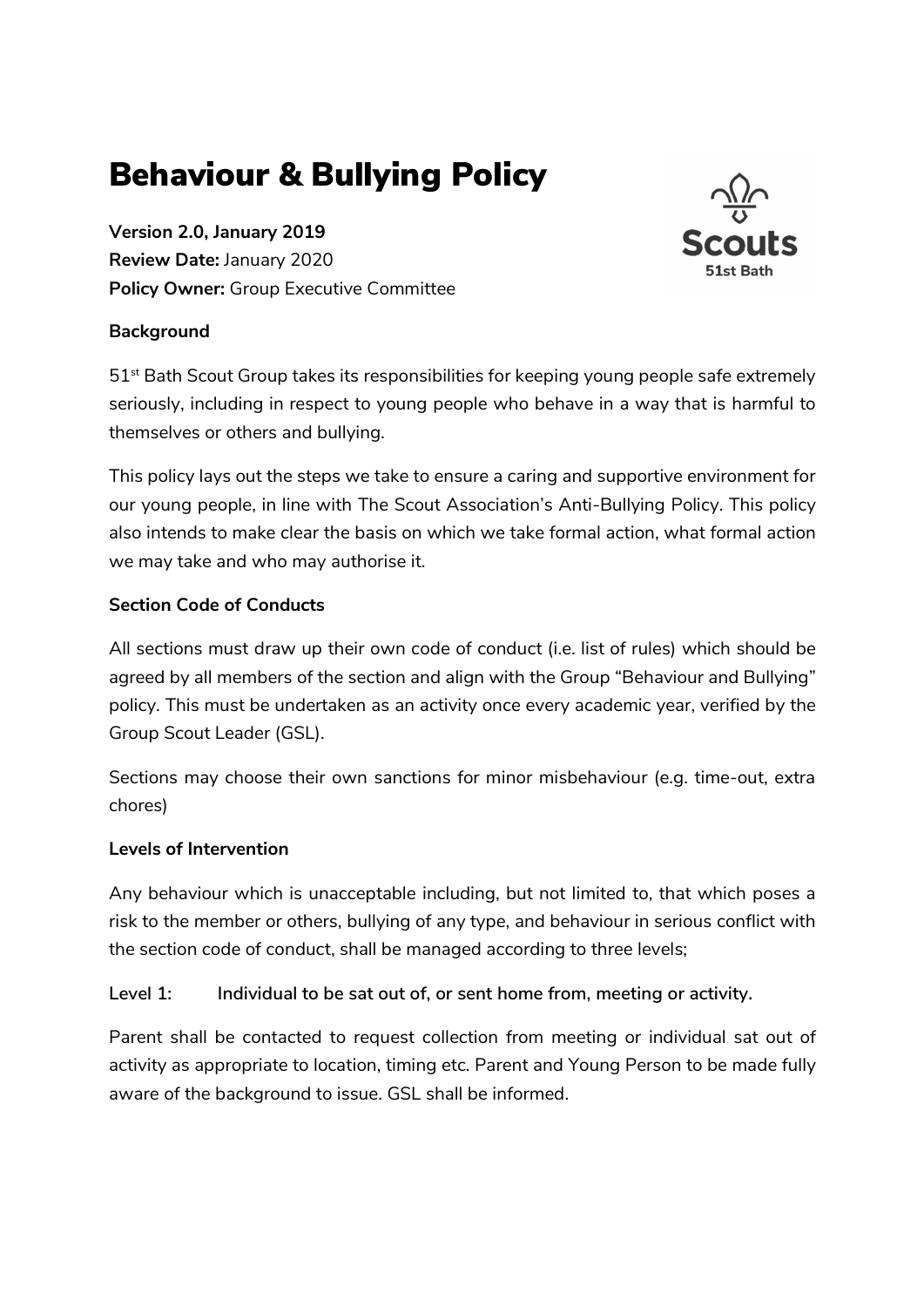# Behaviour & Bullying Policy

Version 2.0, January 2019 Review Date: January 2020 Policy Owner: Group Executive Committee

### **Background**



51<sup>st</sup> Bath Scout Group takes its responsibilities for keeping young people safe extremely seriously, including in respect to young people who behave in a way that is harmful to themselves or others and bullying.

This policy lays out the steps we take to ensure a caring and supportive environment for our young people, in line with The Scout Association's Anti-Bullying Policy. This policy also intends to make clear the basis on which we take formal action, what formal action we may take and who may authorise it.

### Section Code of Conducts

All sections must draw up their own code of conduct (i.e. list of rules) which should be agreed by all members of the section and align with the Group "Behaviour and Bullying" policy. This must be undertaken as an activity once every academic year, verified by the Group Scout Leader (GSL).

Sections may choose their own sanctions for minor misbehaviour (e.g. time-out, extra chores)

#### Levels of Intervention

Any behaviour which is unacceptable including, but not limited to, that which poses a risk to the member or others, bullying of any type, and behaviour in serious conflict with the section code of conduct, shall be managed according to three levels;

Level 1: Individual to be sat out of, or sent home from, meeting or activity.

Parent shall be contacted to request collection from meeting or individual sat out of activity as appropriate to location, timing etc. Parent and Young Person to be made fully aware of the background to issue. GSL shall be informed.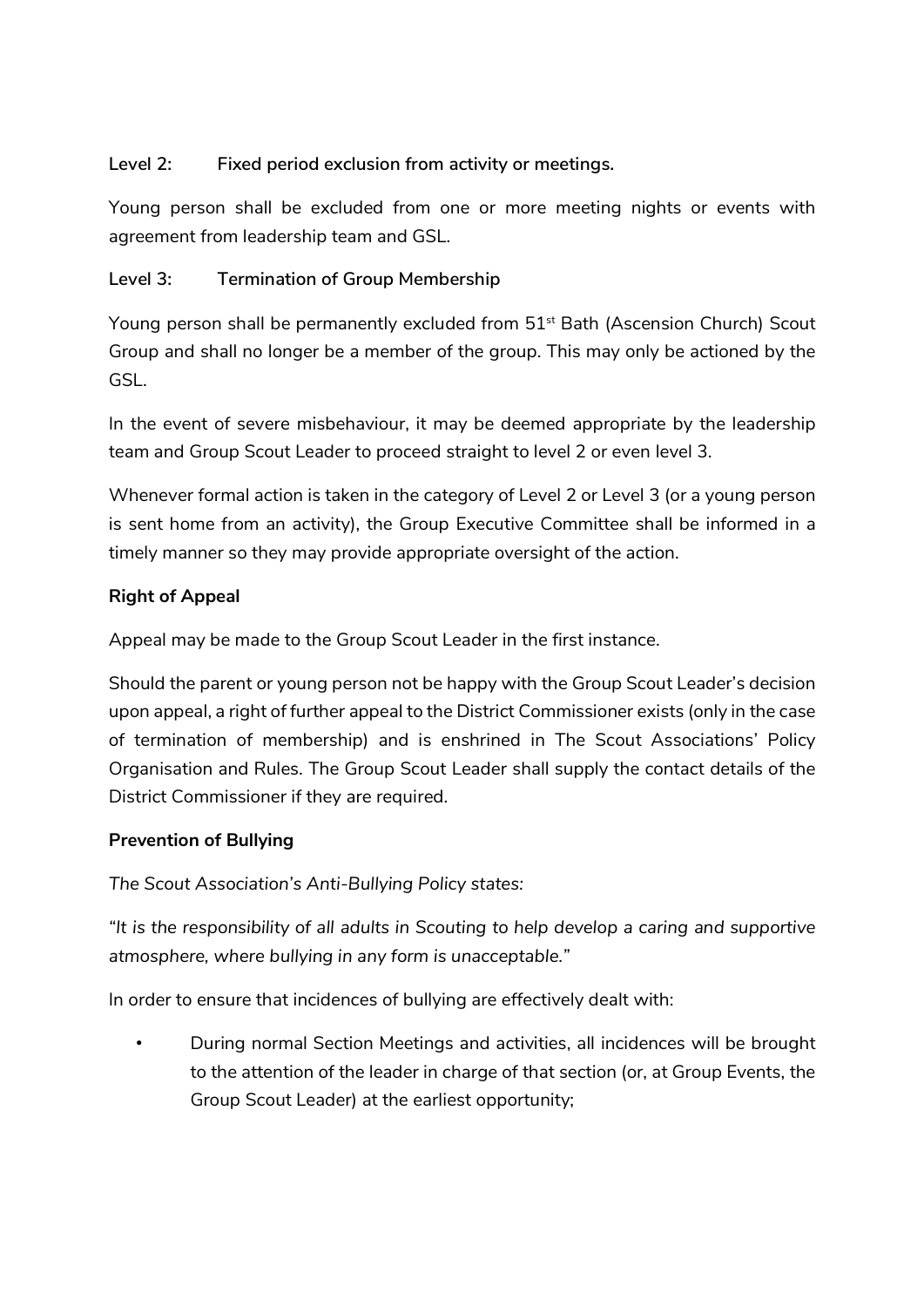## Level 2: Fixed period exclusion from activity or meetings.

Young person shall be excluded from one or more meeting nights or events with agreement from leadership team and GSL.

# Level 3: Termination of Group Membership

Young person shall be permanently excluded from 51<sup>st</sup> Bath (Ascension Church) Scout Group and shall no longer be a member of the group. This may only be actioned by the GSL.

In the event of severe misbehaviour, it may be deemed appropriate by the leadership team and Group Scout Leader to proceed straight to level 2 or even level 3.

Whenever formal action is taken in the category of Level 2 or Level 3 (or a young person is sent home from an activity), the Group Executive Committee shall be informed in a timely manner so they may provide appropriate oversight of the action.

## Right of Appeal

Appeal may be made to the Group Scout Leader in the first instance.

Should the parent or young person not be happy with the Group Scout Leader's decision upon appeal, a right of further appeal to the District Commissioner exists (only in the case of termination of membership) and is enshrined in The Scout Associations' Policy Organisation and Rules. The Group Scout Leader shall supply the contact details of the District Commissioner if they are required.

## Prevention of Bullying

The Scout Association's Anti-Bullying Policy states:

"It is the responsibility of all adults in Scouting to help develop a caring and supportive atmosphere, where bullying in any form is unacceptable."

In order to ensure that incidences of bullying are effectively dealt with:

• During normal Section Meetings and activities, all incidences will be brought to the attention of the leader in charge of that section (or, at Group Events, the Group Scout Leader) at the earliest opportunity;